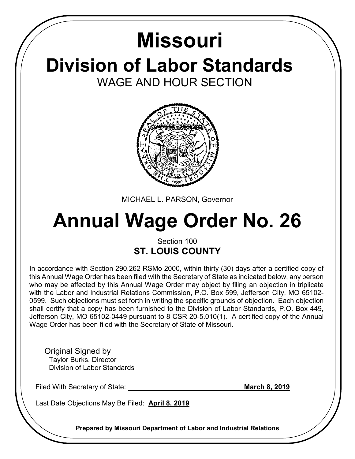## **Division of Labor Standards** WAGE AND HOUR SECTION **Missouri**



MICHAEL L. PARSON, Governor

# **Annual Wage Order No. 26**

### Section 100 **ST. LOUIS COUNTY**

In accordance with Section 290.262 RSMo 2000, within thirty (30) days after a certified copy of this Annual Wage Order has been filed with the Secretary of State as indicated below, any person who may be affected by this Annual Wage Order may object by filing an objection in triplicate with the Labor and Industrial Relations Commission, P.O. Box 599, Jefferson City, MO 65102- 0599. Such objections must set forth in writing the specific grounds of objection. Each objection shall certify that a copy has been furnished to the Division of Labor Standards, P.O. Box 449, Jefferson City, MO 65102-0449 pursuant to 8 CSR 20-5.010(1). A certified copy of the Annual Wage Order has been filed with the Secretary of State of Missouri.

Original Signed by

 Taylor Burks, Director Division of Labor Standards

Filed With Secretary of State: **March 8, 2019 March 8, 2019** 

Last Date Objections May Be Filed: **April 8, 2019**

**Prepared by Missouri Department of Labor and Industrial Relations**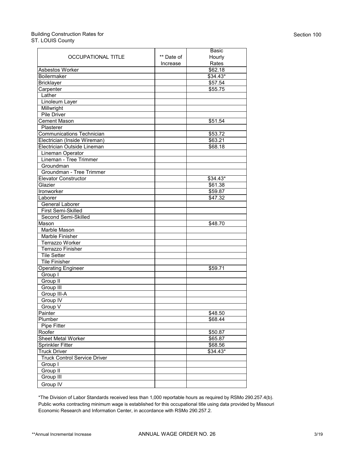#### Building Construction Rates for ST. LOUIS County

|                                                |            | Basic              |
|------------------------------------------------|------------|--------------------|
| OCCUPATIONAL TITLE                             | ** Date of | Hourly             |
|                                                | Increase   | Rates              |
| Asbestos Worker                                |            | \$62.18            |
| Boilermaker                                    |            | \$34.43*           |
| <b>Bricklayer</b>                              |            | \$57.54            |
| Carpenter                                      |            | \$55.75            |
| Lather                                         |            |                    |
| Linoleum Layer                                 |            |                    |
| Millwright                                     |            |                    |
| <b>Pile Driver</b>                             |            |                    |
| <b>Cement Mason</b>                            |            | \$51.54            |
| Plasterer                                      |            |                    |
| <b>Communications Technician</b>               |            | \$53.72            |
| Electrician (Inside Wireman)                   |            | \$63.21            |
| Electrician Outside Lineman                    |            | \$68.18            |
| Lineman Operator                               |            |                    |
| Lineman - Tree Trimmer                         |            |                    |
| Groundman                                      |            |                    |
| Groundman - Tree Trimmer                       |            |                    |
| Elevator Constructor                           |            | $$34.43*$          |
| Glazier                                        |            | \$61.38            |
|                                                |            |                    |
| Ironworker<br>Laborer                          |            | \$59.87<br>\$47.32 |
|                                                |            |                    |
| General Laborer<br>First Semi-Skilled          |            |                    |
| Second Semi-Skilled                            |            |                    |
| Mason                                          |            | \$48.70            |
|                                                |            |                    |
| Marble Mason<br>Marble Finisher                |            |                    |
|                                                |            |                    |
| Terrazzo Worker                                |            |                    |
| <b>Terrazzo Finisher</b><br><b>Tile Setter</b> |            |                    |
|                                                |            |                    |
| <b>Tile Finisher</b>                           |            |                    |
| <b>Operating Engineer</b>                      |            | \$59.71            |
| Group I                                        |            |                    |
| Group II                                       |            |                    |
| Group III                                      |            |                    |
| Group III-A                                    |            |                    |
| Group IV                                       |            |                    |
| Group V                                        |            |                    |
| Painter                                        |            | \$48.50            |
| Plumber                                        |            | \$68.44            |
| Pipe Fitter                                    |            |                    |
| Roofer                                         |            | \$50.87            |
| <b>Sheet Metal Worker</b>                      |            | \$65.87            |
| Sprinkler Fitter                               |            | \$68.56            |
| <b>Truck Driver</b>                            |            | \$34.43*           |
| <b>Truck Control Service Driver</b>            |            |                    |
| Group I                                        |            |                    |
| Group II                                       |            |                    |
| Group III                                      |            |                    |
| Group IV                                       |            |                    |

\*The Division of Labor Standards received less than 1,000 reportable hours as required by RSMo 290.257.4(b). Public works contracting minimum wage is established for this occupational title using data provided by Missouri Economic Research and Information Center, in accordance with RSMo 290.257.2.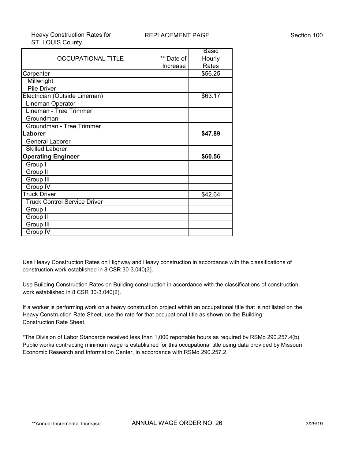|                                     |            | Basic   |
|-------------------------------------|------------|---------|
| <b>OCCUPATIONAL TITLE</b>           | ** Date of | Hourly  |
|                                     | Increase   | Rates   |
| Carpenter                           |            | \$56.25 |
| Millwright                          |            |         |
| <b>Pile Driver</b>                  |            |         |
| Electrician (Outside Lineman)       |            | \$63.17 |
| Lineman Operator                    |            |         |
| Lineman - Tree Trimmer              |            |         |
| Groundman                           |            |         |
| Groundman - Tree Trimmer            |            |         |
| Laborer                             |            | \$47.89 |
| <b>General Laborer</b>              |            |         |
| <b>Skilled Laborer</b>              |            |         |
| <b>Operating Engineer</b>           |            | \$60.56 |
| Group I                             |            |         |
| Group II                            |            |         |
| Group III                           |            |         |
| Group IV                            |            |         |
| <b>Truck Driver</b>                 |            | \$42.64 |
| <b>Truck Control Service Driver</b> |            |         |
| Group I                             |            |         |
| Group II                            |            |         |
| Group III                           |            |         |
| Group IV                            |            |         |

Use Heavy Construction Rates on Highway and Heavy construction in accordance with the classifications of construction work established in 8 CSR 30-3.040(3).

Use Building Construction Rates on Building construction in accordance with the classifications of construction work established in 8 CSR 30-3.040(2).

If a worker is performing work on a heavy construction project within an occupational title that is not listed on the Heavy Construction Rate Sheet, use the rate for that occupational title as shown on the Building Construction Rate Sheet.

\*The Division of Labor Standards received less than 1,000 reportable hours as required by RSMo 290.257.4(b). Public works contracting minimum wage is established for this occupational title using data provided by Missouri Economic Research and Information Center, in accordance with RSMo 290.257.2.